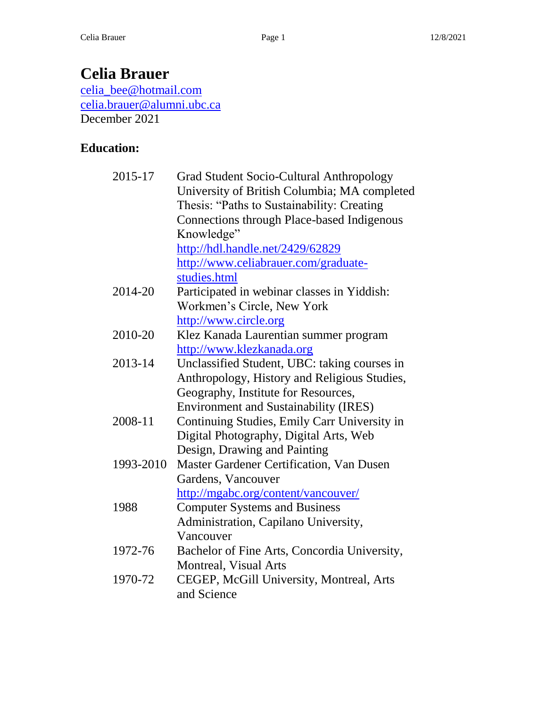# **Celia Brauer**

[celia\\_bee@hotmail.com](mailto:celia_bee@hotmail.com) [celia.brauer@alumni.ubc.ca](mailto:celia.brauer@alumni.ubc.ca) December 2021

### **Education:**

| 2015-17   | <b>Grad Student Socio-Cultural Anthropology</b>   |
|-----------|---------------------------------------------------|
|           | University of British Columbia; MA completed      |
|           | Thesis: "Paths to Sustainability: Creating        |
|           | <b>Connections through Place-based Indigenous</b> |
|           | Knowledge"                                        |
|           | http://hdl.handle.net/2429/62829                  |
|           | http://www.celiabrauer.com/graduate-              |
|           | studies.html                                      |
| 2014-20   | Participated in webinar classes in Yiddish:       |
|           | Workmen's Circle, New York                        |
|           | http://www.circle.org                             |
| 2010-20   | Klez Kanada Laurentian summer program             |
|           | http://www.klezkanada.org                         |
| 2013-14   | Unclassified Student, UBC: taking courses in      |
|           | Anthropology, History and Religious Studies,      |
|           | Geography, Institute for Resources,               |
|           | <b>Environment and Sustainability (IRES)</b>      |
| 2008-11   | Continuing Studies, Emily Carr University in      |
|           | Digital Photography, Digital Arts, Web            |
|           | Design, Drawing and Painting                      |
| 1993-2010 | Master Gardener Certification, Van Dusen          |
|           | Gardens, Vancouver                                |
|           | http://mgabc.org/content/vancouver/               |
| 1988      | <b>Computer Systems and Business</b>              |
|           | Administration, Capilano University,              |
|           | Vancouver                                         |
| 1972-76   | Bachelor of Fine Arts, Concordia University,      |
|           | Montreal, Visual Arts                             |
| 1970-72   | CEGEP, McGill University, Montreal, Arts          |
|           | and Science                                       |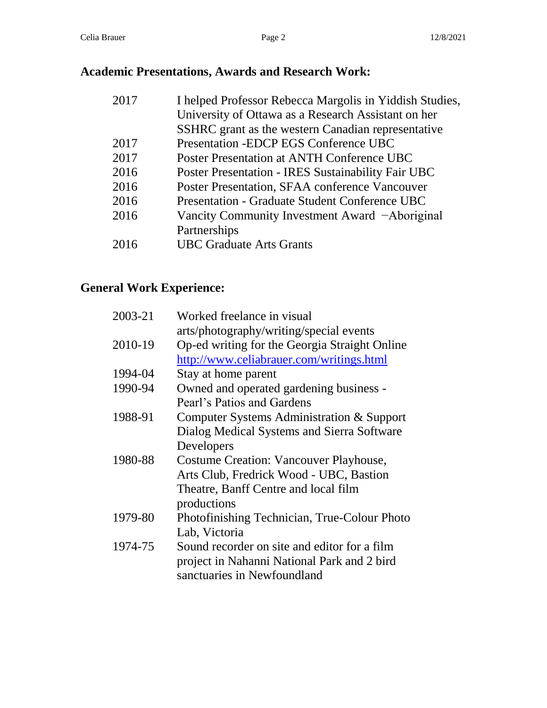## **Academic Presentations, Awards and Research Work:**

| 2017 | I helped Professor Rebecca Margolis in Yiddish Studies, |
|------|---------------------------------------------------------|
|      | University of Ottawa as a Research Assistant on her     |
|      | SSHRC grant as the western Canadian representative      |
| 2017 | Presentation - EDCP EGS Conference UBC                  |
| 2017 | Poster Presentation at ANTH Conference UBC              |
| 2016 | Poster Presentation - IRES Sustainability Fair UBC      |
| 2016 | Poster Presentation, SFAA conference Vancouver          |
| 2016 | Presentation - Graduate Student Conference UBC          |
| 2016 | Vancity Community Investment Award -Aboriginal          |
|      | Partnerships                                            |
| 2016 | <b>UBC Graduate Arts Grants</b>                         |
|      |                                                         |

## **General Work Experience:**

| 2003-21 | Worked freelance in visual                    |
|---------|-----------------------------------------------|
|         | arts/photography/writing/special events       |
| 2010-19 | Op-ed writing for the Georgia Straight Online |
|         | http://www.celiabrauer.com/writings.html      |
| 1994-04 | Stay at home parent                           |
| 1990-94 | Owned and operated gardening business -       |
|         | Pearl's Patios and Gardens                    |
| 1988-91 | Computer Systems Administration & Support     |
|         | Dialog Medical Systems and Sierra Software    |
|         | Developers                                    |
| 1980-88 | Costume Creation: Vancouver Playhouse,        |
|         | Arts Club, Fredrick Wood - UBC, Bastion       |
|         | Theatre, Banff Centre and local film          |
|         | productions                                   |
| 1979-80 | Photofinishing Technician, True-Colour Photo  |
|         | Lab, Victoria                                 |
| 1974-75 | Sound recorder on site and editor for a film  |
|         | project in Nahanni National Park and 2 bird   |
|         | sanctuaries in Newfoundland                   |
|         |                                               |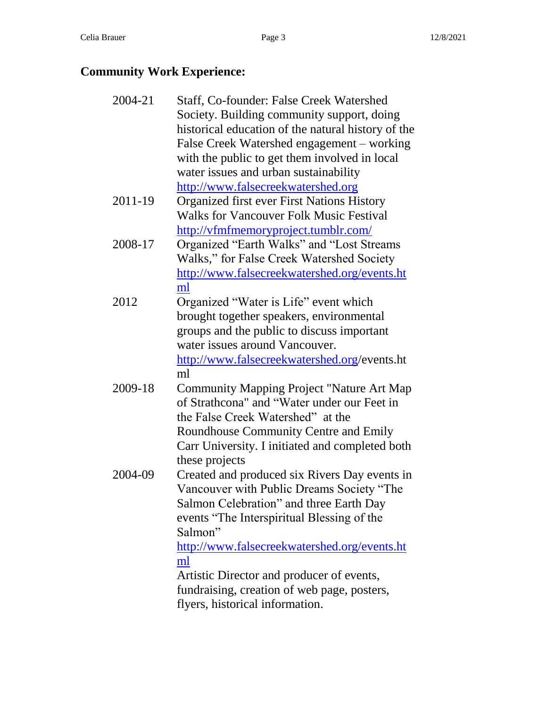## **Community Work Experience:**

| 2004-21 | Staff, Co-founder: False Creek Watershed           |
|---------|----------------------------------------------------|
|         | Society. Building community support, doing         |
|         | historical education of the natural history of the |
|         | False Creek Watershed engagement – working         |
|         | with the public to get them involved in local      |
|         | water issues and urban sustainability              |
|         | http://www.falsecreekwatershed.org                 |
| 2011-19 | <b>Organized first ever First Nations History</b>  |
|         | <b>Walks for Vancouver Folk Music Festival</b>     |
|         | http://vfmfmemoryproject.tumblr.com/               |
| 2008-17 | Organized "Earth Walks" and "Lost Streams          |
|         | Walks," for False Creek Watershed Society          |
|         | http://www.falsecreekwatershed.org/events.ht       |
|         | ml                                                 |
| 2012    | Organized "Water is Life" event which              |
|         | brought together speakers, environmental           |
|         | groups and the public to discuss important         |
|         | water issues around Vancouver.                     |
|         | http://www.falsecreekwatershed.org/events.ht       |
|         | ml                                                 |
| 2009-18 | <b>Community Mapping Project "Nature Art Map</b>   |
|         | of Strathcona" and "Water under our Feet in        |
|         | the False Creek Watershed" at the                  |
|         | Roundhouse Community Centre and Emily              |
|         | Carr University. I initiated and completed both    |
|         | these projects                                     |
| 2004-09 | Created and produced six Rivers Day events in      |
|         | Vancouver with Public Dreams Society "The          |
|         | Salmon Celebration" and three Earth Day            |
|         | events "The Interspiritual Blessing of the         |
|         | Salmon"                                            |
|         | http://www.falsecreekwatershed.org/events.ht       |
|         | ml                                                 |
|         | Artistic Director and producer of events,          |
|         | fundraising, creation of web page, posters,        |
|         | flyers, historical information.                    |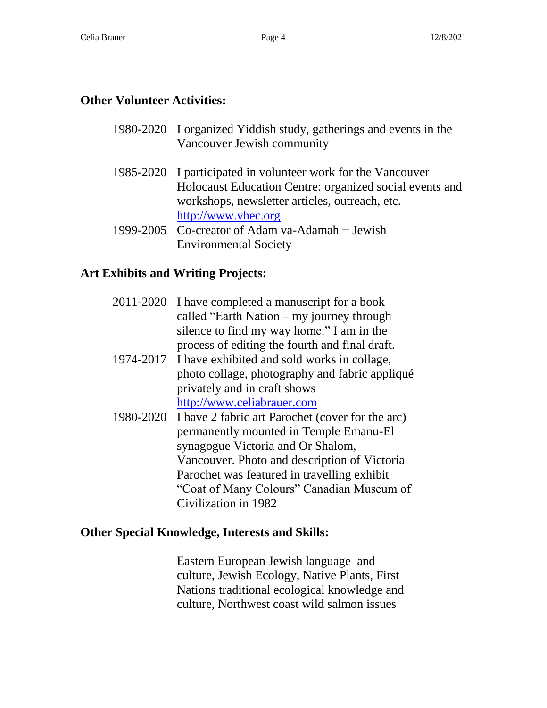#### **Other Volunteer Activities:**

- 1980-2020 I organized Yiddish study, gatherings and events in the Vancouver Jewish community
- 1985-2020 I participated in volunteer work for the Vancouver Holocaust Education Centre: organized social events and workshops, newsletter articles, outreach, etc. [http://www.vhec.org](http://www.vhec.org/)
- 1999-2005 Co-creator of Adam va-Adamah − Jewish Environmental Society

#### **Art Exhibits and Writing Projects:**

|           | 2011-2020 I have completed a manuscript for a book<br>called "Earth Nation $-$ my journey through<br>silence to find my way home." I am in the<br>process of editing the fourth and final draft. |
|-----------|--------------------------------------------------------------------------------------------------------------------------------------------------------------------------------------------------|
|           | 1974-2017 I have exhibited and sold works in collage,                                                                                                                                            |
|           | photo collage, photography and fabric appliqué<br>privately and in craft shows                                                                                                                   |
|           | http://www.celiabrauer.com                                                                                                                                                                       |
| 1980-2020 | I have 2 fabric art Parochet (cover for the arc)<br>permanently mounted in Temple Emanu-El                                                                                                       |
|           | synagogue Victoria and Or Shalom,                                                                                                                                                                |
|           | Vancouver. Photo and description of Victoria                                                                                                                                                     |
|           | Parochet was featured in travelling exhibit                                                                                                                                                      |
|           | "Coat of Many Colours" Canadian Museum of                                                                                                                                                        |
|           | Civilization in 1982                                                                                                                                                                             |

#### **Other Special Knowledge, Interests and Skills:**

Eastern European Jewish language and culture, Jewish Ecology, Native Plants, First Nations traditional ecological knowledge and culture, Northwest coast wild salmon issues